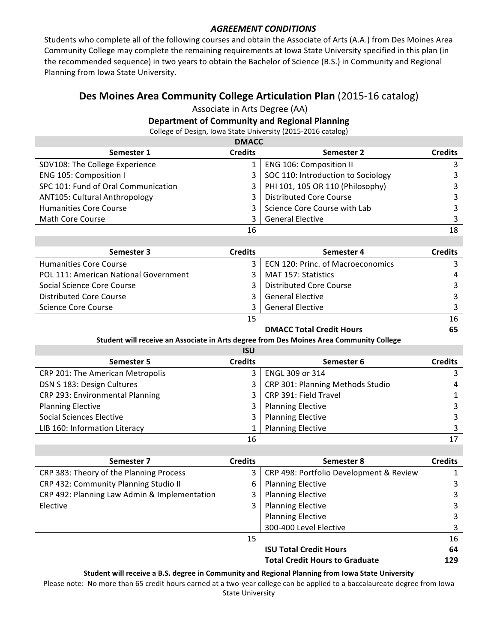## **AGREEMENT CONDITIONS**

Students who complete all of the following courses and obtain the Associate of Arts (A.A.) from Des Moines Area Community College may complete the remaining requirements at lowa State University specified in this plan (in the recommended sequence) in two years to obtain the Bachelor of Science (B.S.) in Community and Regional Planning from Iowa State University.

# **Des Moines Area Community College Articulation Plan** (2015-16 catalog)

Associate in Arts Degree (AA)

## **Department of Community and Regional Planning**

College of Design, Iowa State University (2015-2016 catalog)

| <b>DMACC</b>                        |                |                                    |                |  |
|-------------------------------------|----------------|------------------------------------|----------------|--|
| Semester 1                          | <b>Credits</b> | Semester 2                         | <b>Credits</b> |  |
| SDV108: The College Experience      |                | <b>ENG 106: Composition II</b>     | 3              |  |
| ENG 105: Composition I              | 3              | SOC 110: Introduction to Sociology | 3              |  |
| SPC 101: Fund of Oral Communication | 3              | PHI 101, 105 OR 110 (Philosophy)   | 3              |  |
| ANT105: Cultural Anthropology       | 3              | <b>Distributed Core Course</b>     | 3              |  |
| <b>Humanities Core Course</b>       | 3              | Science Core Course with Lab       | 3              |  |
| Math Core Course                    | 3              | <b>General Elective</b>            | 3              |  |
|                                     | 16             |                                    | 18             |  |

| Semester 3                            | <b>Credits</b> | Semester 4                            | <b>Credits</b> |
|---------------------------------------|----------------|---------------------------------------|----------------|
| <b>Humanities Core Course</b>         |                | 3   ECN 120: Princ. of Macroeconomics |                |
| POL 111: American National Government | 3 I            | MAT 157: Statistics                   | 4              |
| Social Science Core Course            | 3              | Distributed Core Course               |                |
| Distributed Core Course               | 3              | <b>General Elective</b>               |                |
| Science Core Course                   |                | <b>General Elective</b>               |                |
|                                       | 15             |                                       | 16             |

### **DMACC Total Credit Hours** 65

#### Student will receive an Associate in Arts degree from Des Moines Area Community College

|                                  | <b>ISU</b>     |                                  |                |
|----------------------------------|----------------|----------------------------------|----------------|
| Semester 5                       | <b>Credits</b> | Semester 6                       | <b>Credits</b> |
| CRP 201: The American Metropolis | 3              | ENGL 309 or 314                  |                |
| DSN S 183: Design Cultures       | $\mathbf{3}$   | CRP 301: Planning Methods Studio | 4              |
| CRP 293: Environmental Planning  | $\mathbf{3}$   | CRP 391: Field Travel            |                |
| <b>Planning Elective</b>         | 3              | <b>Planning Elective</b>         |                |
| <b>Social Sciences Elective</b>  | 3              | <b>Planning Elective</b>         |                |
| LIB 160: Information Literacy    |                | <b>Planning Elective</b>         |                |
|                                  | 16             |                                  | 17             |

| Semester 7                                   | <b>Credits</b> | Semester 8                              | <b>Credits</b> |
|----------------------------------------------|----------------|-----------------------------------------|----------------|
| CRP 383: Theory of the Planning Process      | 3              | CRP 498: Portfolio Development & Review | 1              |
| CRP 432: Community Planning Studio II        | 6              | <b>Planning Elective</b>                | 3              |
| CRP 492: Planning Law Admin & Implementation | 3              | <b>Planning Elective</b>                | 3              |
| Elective                                     | 3              | <b>Planning Elective</b>                | 3              |
|                                              |                | <b>Planning Elective</b>                | 3              |
|                                              |                | 300-400 Level Elective                  | 3              |
|                                              | 15             |                                         | 16             |
|                                              |                | <b>ISU Total Credit Hours</b>           | 64             |
|                                              |                | <b>Total Credit Hours to Graduate</b>   | 129            |

#### Student will receive a B.S. degree in Community and Regional Planning from Iowa State University

Please note: No more than 65 credit hours earned at a two-year college can be applied to a baccalaureate degree from Iowa **State University**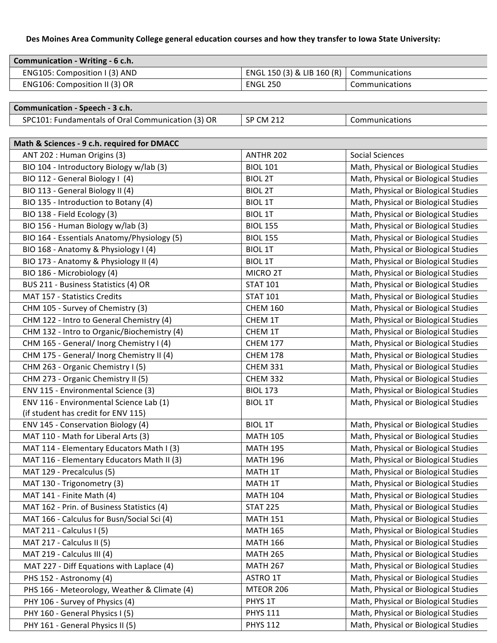# Des Moines Area Community College general education courses and how they transfer to Iowa State University:

| Communication - Writing - 6 c.h. |                                                   |                       |
|----------------------------------|---------------------------------------------------|-----------------------|
| ENG105: Composition I (3) AND    | ENGL 150 (3) & LIB 160 (R) $\vert$ Communications |                       |
| ENG106: Composition II (3) OR    | <b>ENGL 250</b>                                   | <b>Communications</b> |

# **Communication - Speech - 3 c.h.**

| I: Fundamentals of Oral Communication (3) OR<br>SPC101: | <b>SP CM 212</b> | Communications |
|---------------------------------------------------------|------------------|----------------|
|---------------------------------------------------------|------------------|----------------|

| Math & Sciences - 9 c.h. required for DMACC  |                 |                                      |  |  |
|----------------------------------------------|-----------------|--------------------------------------|--|--|
| ANT 202 : Human Origins (3)                  | ANTHR 202       | <b>Social Sciences</b>               |  |  |
| BIO 104 - Introductory Biology w/lab (3)     | <b>BIOL 101</b> | Math, Physical or Biological Studies |  |  |
| BIO 112 - General Biology I (4)              | <b>BIOL 2T</b>  | Math, Physical or Biological Studies |  |  |
| BIO 113 - General Biology II (4)             | <b>BIOL 2T</b>  | Math, Physical or Biological Studies |  |  |
| BIO 135 - Introduction to Botany (4)         | <b>BIOL 1T</b>  | Math, Physical or Biological Studies |  |  |
| BIO 138 - Field Ecology (3)                  | <b>BIOL 1T</b>  | Math, Physical or Biological Studies |  |  |
| BIO 156 - Human Biology w/lab (3)            | <b>BIOL 155</b> | Math, Physical or Biological Studies |  |  |
| BIO 164 - Essentials Anatomy/Physiology (5)  | <b>BIOL 155</b> | Math, Physical or Biological Studies |  |  |
| BIO 168 - Anatomy & Physiology I (4)         | <b>BIOL 1T</b>  | Math, Physical or Biological Studies |  |  |
| BIO 173 - Anatomy & Physiology II (4)        | <b>BIOL 1T</b>  | Math, Physical or Biological Studies |  |  |
| BIO 186 - Microbiology (4)                   | MICRO 2T        | Math, Physical or Biological Studies |  |  |
| BUS 211 - Business Statistics (4) OR         | <b>STAT 101</b> | Math, Physical or Biological Studies |  |  |
| MAT 157 - Statistics Credits                 | <b>STAT 101</b> | Math, Physical or Biological Studies |  |  |
| CHM 105 - Survey of Chemistry (3)            | <b>CHEM 160</b> | Math, Physical or Biological Studies |  |  |
| CHM 122 - Intro to General Chemistry (4)     | CHEM 1T         | Math, Physical or Biological Studies |  |  |
| CHM 132 - Intro to Organic/Biochemistry (4)  | CHEM 1T         | Math, Physical or Biological Studies |  |  |
| CHM 165 - General/ Inorg Chemistry I (4)     | <b>CHEM 177</b> | Math, Physical or Biological Studies |  |  |
| CHM 175 - General/ Inorg Chemistry II (4)    | <b>CHEM 178</b> | Math, Physical or Biological Studies |  |  |
| CHM 263 - Organic Chemistry I (5)            | <b>CHEM 331</b> | Math, Physical or Biological Studies |  |  |
| CHM 273 - Organic Chemistry II (5)           | <b>CHEM 332</b> | Math, Physical or Biological Studies |  |  |
| ENV 115 - Environmental Science (3)          | <b>BIOL 173</b> | Math, Physical or Biological Studies |  |  |
| ENV 116 - Environmental Science Lab (1)      | <b>BIOL 1T</b>  | Math, Physical or Biological Studies |  |  |
| (if student has credit for ENV 115)          |                 |                                      |  |  |
| ENV 145 - Conservation Biology (4)           | <b>BIOL 1T</b>  | Math, Physical or Biological Studies |  |  |
| MAT 110 - Math for Liberal Arts (3)          | <b>MATH 105</b> | Math, Physical or Biological Studies |  |  |
| MAT 114 - Elementary Educators Math I (3)    | <b>MATH 195</b> | Math, Physical or Biological Studies |  |  |
| MAT 116 - Elementary Educators Math II (3)   | <b>MATH 196</b> | Math, Physical or Biological Studies |  |  |
| MAT 129 - Precalculus (5)                    | MATH 1T         | Math, Physical or Biological Studies |  |  |
| MAT 130 - Trigonometry (3)                   | MATH 1T         | Math, Physical or Biological Studies |  |  |
| MAT 141 - Finite Math (4)                    | <b>MATH 104</b> | Math, Physical or Biological Studies |  |  |
| MAT 162 - Prin. of Business Statistics (4)   | <b>STAT 225</b> | Math, Physical or Biological Studies |  |  |
| MAT 166 - Calculus for Busn/Social Sci (4)   | <b>MATH 151</b> | Math, Physical or Biological Studies |  |  |
| MAT 211 - Calculus I (5)                     | <b>MATH 165</b> | Math, Physical or Biological Studies |  |  |
| MAT 217 - Calculus II (5)                    | <b>MATH 166</b> | Math, Physical or Biological Studies |  |  |
| MAT 219 - Calculus III (4)                   | <b>MATH 265</b> | Math, Physical or Biological Studies |  |  |
| MAT 227 - Diff Equations with Laplace (4)    | <b>MATH 267</b> | Math, Physical or Biological Studies |  |  |
| PHS 152 - Astronomy (4)                      | ASTRO 1T        | Math, Physical or Biological Studies |  |  |
| PHS 166 - Meteorology, Weather & Climate (4) | MTEOR 206       | Math, Physical or Biological Studies |  |  |
| PHY 106 - Survey of Physics (4)              | PHYS 1T         | Math, Physical or Biological Studies |  |  |
| PHY 160 - General Physics I (5)              | <b>PHYS 111</b> | Math, Physical or Biological Studies |  |  |
| PHY 161 - General Physics II (5)             | <b>PHYS 112</b> | Math, Physical or Biological Studies |  |  |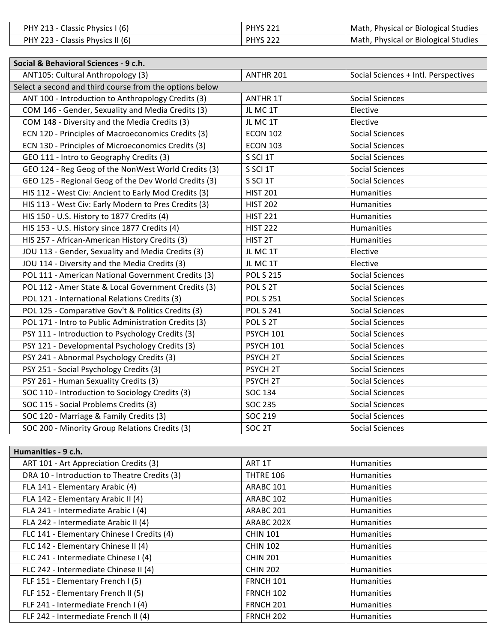| PHY 213 - Classic Physics I (6)  | <b>PHYS 221</b> | Math, Physical or Biological Studies |
|----------------------------------|-----------------|--------------------------------------|
| PHY 223 - Classis Physics II (6) | <b>PHYS 222</b> | Math, Physical or Biological Studies |

| Social & Behavioral Sciences - 9 c.h.                   |                     |                                      |
|---------------------------------------------------------|---------------------|--------------------------------------|
| ANT105: Cultural Anthropology (3)                       | ANTHR 201           | Social Sciences + Intl. Perspectives |
| Select a second and third course from the options below |                     |                                      |
| ANT 100 - Introduction to Anthropology Credits (3)      | <b>ANTHR 1T</b>     | <b>Social Sciences</b>               |
| COM 146 - Gender, Sexuality and Media Credits (3)       | JL MC 1T            | Elective                             |
| COM 148 - Diversity and the Media Credits (3)           | JL MC 1T            | Elective                             |
| ECN 120 - Principles of Macroeconomics Credits (3)      | <b>ECON 102</b>     | <b>Social Sciences</b>               |
| ECN 130 - Principles of Microeconomics Credits (3)      | <b>ECON 103</b>     | <b>Social Sciences</b>               |
| GEO 111 - Intro to Geography Credits (3)                | S SCI 1T            | <b>Social Sciences</b>               |
| GEO 124 - Reg Geog of the NonWest World Credits (3)     | S SCI 1T            | <b>Social Sciences</b>               |
| GEO 125 - Regional Geog of the Dev World Credits (3)    | S SCI 1T            | <b>Social Sciences</b>               |
| HIS 112 - West Civ: Ancient to Early Mod Credits (3)    | <b>HIST 201</b>     | Humanities                           |
| HIS 113 - West Civ: Early Modern to Pres Credits (3)    | <b>HIST 202</b>     | Humanities                           |
| HIS 150 - U.S. History to 1877 Credits (4)              | <b>HIST 221</b>     | Humanities                           |
| HIS 153 - U.S. History since 1877 Credits (4)           | <b>HIST 222</b>     | Humanities                           |
| HIS 257 - African-American History Credits (3)          | HIST <sub>2T</sub>  | Humanities                           |
| JOU 113 - Gender, Sexuality and Media Credits (3)       | JL MC 1T            | Elective                             |
| JOU 114 - Diversity and the Media Credits (3)           | JL MC 1T            | Elective                             |
| POL 111 - American National Government Credits (3)      | <b>POL S 215</b>    | <b>Social Sciences</b>               |
| POL 112 - Amer State & Local Government Credits (3)     | POL S 2T            | <b>Social Sciences</b>               |
| POL 121 - International Relations Credits (3)           | <b>POL S 251</b>    | <b>Social Sciences</b>               |
| POL 125 - Comparative Gov't & Politics Credits (3)      | <b>POL S 241</b>    | <b>Social Sciences</b>               |
| POL 171 - Intro to Public Administration Credits (3)    | POL S 2T            | <b>Social Sciences</b>               |
| PSY 111 - Introduction to Psychology Credits (3)        | <b>PSYCH 101</b>    | <b>Social Sciences</b>               |
| PSY 121 - Developmental Psychology Credits (3)          | <b>PSYCH 101</b>    | <b>Social Sciences</b>               |
| PSY 241 - Abnormal Psychology Credits (3)               | PSYCH <sub>2T</sub> | <b>Social Sciences</b>               |
| PSY 251 - Social Psychology Credits (3)                 | PSYCH <sub>2T</sub> | <b>Social Sciences</b>               |
| PSY 261 - Human Sexuality Credits (3)                   | PSYCH <sub>2T</sub> | <b>Social Sciences</b>               |
| SOC 110 - Introduction to Sociology Credits (3)         | SOC 134             | <b>Social Sciences</b>               |
| SOC 115 - Social Problems Credits (3)                   | <b>SOC 235</b>      | <b>Social Sciences</b>               |
| SOC 120 - Marriage & Family Credits (3)                 | SOC 219             | <b>Social Sciences</b>               |
| SOC 200 - Minority Group Relations Credits (3)          | SOC <sub>2T</sub>   | <b>Social Sciences</b>               |

| Humanities - 9 c.h.                          |                      |                   |
|----------------------------------------------|----------------------|-------------------|
| ART 101 - Art Appreciation Credits (3)       | ART 1T               | <b>Humanities</b> |
| DRA 10 - Introduction to Theatre Credits (3) | <b>THTRE 106</b>     | <b>Humanities</b> |
| FLA 141 - Elementary Arabic (4)              | ARABC <sub>101</sub> | <b>Humanities</b> |
| FLA 142 - Elementary Arabic II (4)           | ARABC 102            | <b>Humanities</b> |
| FLA 241 - Intermediate Arabic I (4)          | ARABC <sub>201</sub> | <b>Humanities</b> |
| FLA 242 - Intermediate Arabic II (4)         | ARABC 202X           | <b>Humanities</b> |
| FLC 141 - Elementary Chinese I Credits (4)   | <b>CHIN 101</b>      | <b>Humanities</b> |
| FLC 142 - Elementary Chinese II (4)          | <b>CHIN 102</b>      | <b>Humanities</b> |
| FLC 241 - Intermediate Chinese I (4)         | <b>CHIN 201</b>      | <b>Humanities</b> |
| FLC 242 - Intermediate Chinese II (4)        | <b>CHIN 202</b>      | <b>Humanities</b> |
| FLF 151 - Elementary French I (5)            | <b>FRNCH 101</b>     | <b>Humanities</b> |
| FLF 152 - Elementary French II (5)           | <b>FRNCH 102</b>     | <b>Humanities</b> |
| FLF 241 - Intermediate French I (4)          | <b>FRNCH 201</b>     | <b>Humanities</b> |
| FLF 242 - Intermediate French II (4)         | <b>FRNCH 202</b>     | <b>Humanities</b> |